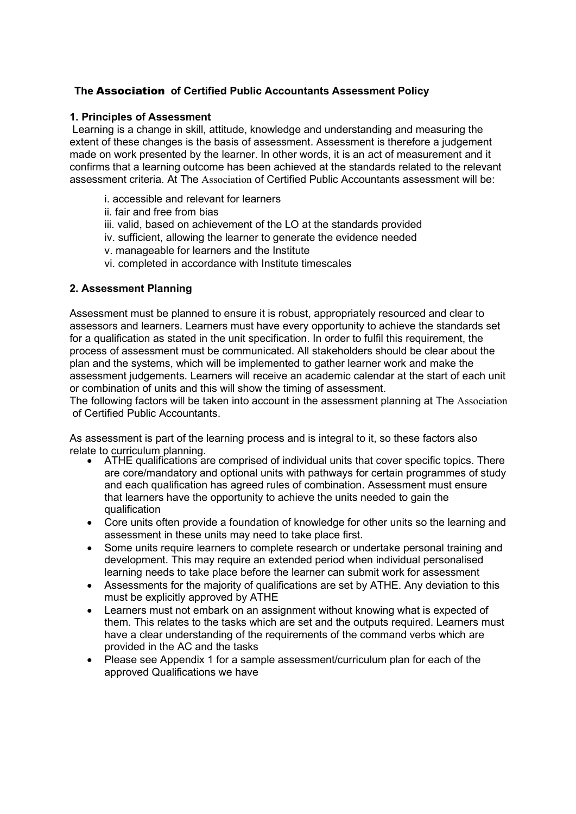# The Association of Certified Public Accountants Assessment Policy

### 1. Principles of Assessment

 Learning is a change in skill, attitude, knowledge and understanding and measuring the extent of these changes is the basis of assessment. Assessment is therefore a judgement made on work presented by the learner. In other words, it is an act of measurement and it confirms that a learning outcome has been achieved at the standards related to the relevant assessment criteria. At The Association of Certified Public Accountants assessment will be:

- i. accessible and relevant for learners
- ii. fair and free from bias
- iii. valid, based on achievement of the LO at the standards provided
- iv. sufficient, allowing the learner to generate the evidence needed
- v. manageable for learners and the Institute
- vi. completed in accordance with Institute timescales

## 2. Assessment Planning

Assessment must be planned to ensure it is robust, appropriately resourced and clear to assessors and learners. Learners must have every opportunity to achieve the standards set for a qualification as stated in the unit specification. In order to fulfil this requirement, the process of assessment must be communicated. All stakeholders should be clear about the plan and the systems, which will be implemented to gather learner work and make the assessment judgements. Learners will receive an academic calendar at the start of each unit or combination of units and this will show the timing of assessment.

The following factors will be taken into account in the assessment planning at The Association of Certified Public Accountants.

As assessment is part of the learning process and is integral to it, so these factors also relate to curriculum planning.

- ATHE qualifications are comprised of individual units that cover specific topics. There are core/mandatory and optional units with pathways for certain programmes of study and each qualification has agreed rules of combination. Assessment must ensure that learners have the opportunity to achieve the units needed to gain the qualification
- Core units often provide a foundation of knowledge for other units so the learning and assessment in these units may need to take place first.
- Some units require learners to complete research or undertake personal training and development. This may require an extended period when individual personalised learning needs to take place before the learner can submit work for assessment
- Assessments for the majority of qualifications are set by ATHE. Any deviation to this must be explicitly approved by ATHE
- Learners must not embark on an assignment without knowing what is expected of them. This relates to the tasks which are set and the outputs required. Learners must have a clear understanding of the requirements of the command verbs which are provided in the AC and the tasks
- Please see Appendix 1 for a sample assessment/curriculum plan for each of the approved Qualifications we have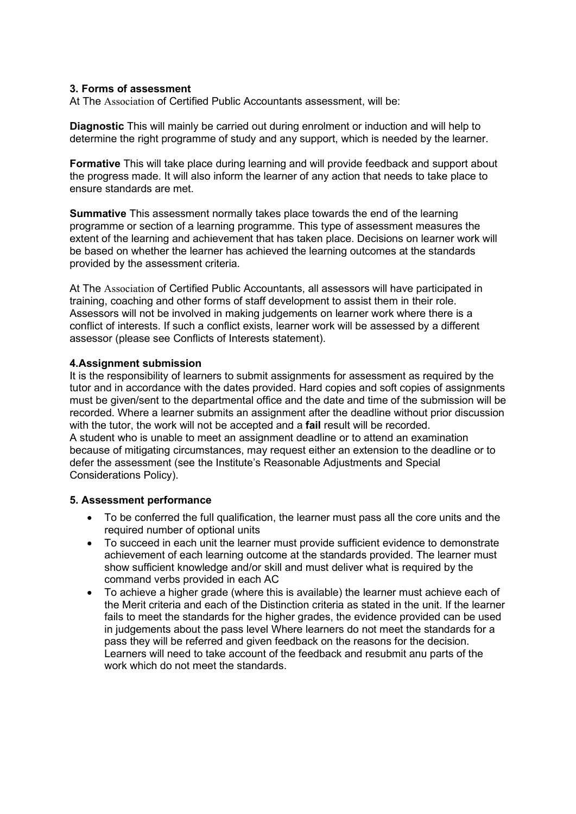#### 3. Forms of assessment

At The Association of Certified Public Accountants assessment, will be:

Diagnostic This will mainly be carried out during enrolment or induction and will help to determine the right programme of study and any support, which is needed by the learner.

Formative This will take place during learning and will provide feedback and support about the progress made. It will also inform the learner of any action that needs to take place to ensure standards are met.

Summative This assessment normally takes place towards the end of the learning programme or section of a learning programme. This type of assessment measures the extent of the learning and achievement that has taken place. Decisions on learner work will be based on whether the learner has achieved the learning outcomes at the standards provided by the assessment criteria.

At The Association of Certified Public Accountants, all assessors will have participated in training, coaching and other forms of staff development to assist them in their role. Assessors will not be involved in making judgements on learner work where there is a conflict of interests. If such a conflict exists, learner work will be assessed by a different assessor (please see Conflicts of Interests statement).

### 4.Assignment submission

It is the responsibility of learners to submit assignments for assessment as required by the tutor and in accordance with the dates provided. Hard copies and soft copies of assignments must be given/sent to the departmental office and the date and time of the submission will be recorded. Where a learner submits an assignment after the deadline without prior discussion with the tutor, the work will not be accepted and a **fail** result will be recorded. A student who is unable to meet an assignment deadline or to attend an examination because of mitigating circumstances, may request either an extension to the deadline or to defer the assessment (see the Institute's Reasonable Adjustments and Special Considerations Policy).

### 5. Assessment performance

- To be conferred the full qualification, the learner must pass all the core units and the required number of optional units
- To succeed in each unit the learner must provide sufficient evidence to demonstrate achievement of each learning outcome at the standards provided. The learner must show sufficient knowledge and/or skill and must deliver what is required by the command verbs provided in each AC
- To achieve a higher grade (where this is available) the learner must achieve each of the Merit criteria and each of the Distinction criteria as stated in the unit. If the learner fails to meet the standards for the higher grades, the evidence provided can be used in judgements about the pass level Where learners do not meet the standards for a pass they will be referred and given feedback on the reasons for the decision. Learners will need to take account of the feedback and resubmit anu parts of the work which do not meet the standards.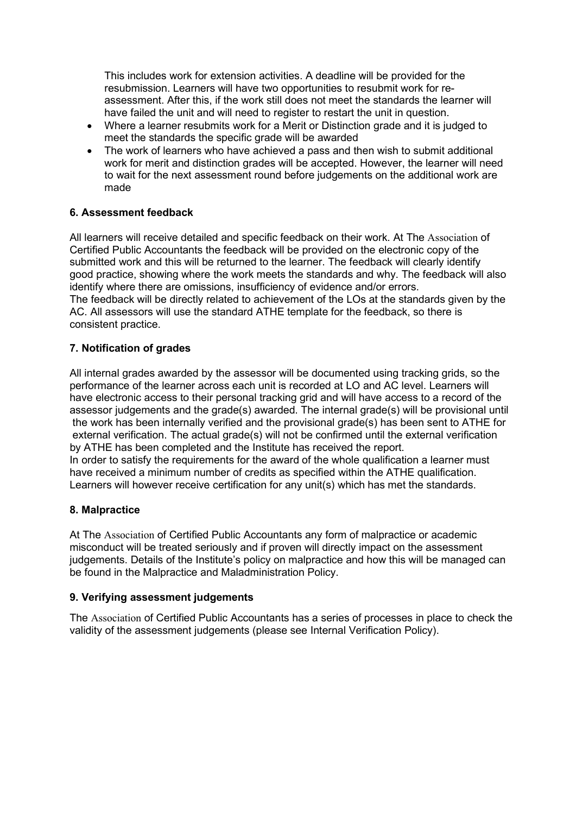This includes work for extension activities. A deadline will be provided for the resubmission. Learners will have two opportunities to resubmit work for reassessment. After this, if the work still does not meet the standards the learner will have failed the unit and will need to register to restart the unit in question.

- Where a learner resubmits work for a Merit or Distinction grade and it is judged to meet the standards the specific grade will be awarded
- The work of learners who have achieved a pass and then wish to submit additional work for merit and distinction grades will be accepted. However, the learner will need to wait for the next assessment round before judgements on the additional work are made

## 6. Assessment feedback

All learners will receive detailed and specific feedback on their work. At The Association of Certified Public Accountants the feedback will be provided on the electronic copy of the submitted work and this will be returned to the learner. The feedback will clearly identify good practice, showing where the work meets the standards and why. The feedback will also identify where there are omissions, insufficiency of evidence and/or errors. The feedback will be directly related to achievement of the LOs at the standards given by the AC. All assessors will use the standard ATHE template for the feedback, so there is consistent practice.

## 7. Notification of grades

All internal grades awarded by the assessor will be documented using tracking grids, so the performance of the learner across each unit is recorded at LO and AC level. Learners will have electronic access to their personal tracking grid and will have access to a record of the assessor judgements and the grade(s) awarded. The internal grade(s) will be provisional until the work has been internally verified and the provisional grade(s) has been sent to ATHE for external verification. The actual grade(s) will not be confirmed until the external verification by ATHE has been completed and the Institute has received the report. In order to satisfy the requirements for the award of the whole qualification a learner must have received a minimum number of credits as specified within the ATHE qualification. Learners will however receive certification for any unit(s) which has met the standards.

### 8. Malpractice

At The Association of Certified Public Accountants any form of malpractice or academic misconduct will be treated seriously and if proven will directly impact on the assessment judgements. Details of the Institute's policy on malpractice and how this will be managed can be found in the Malpractice and Maladministration Policy.

### 9. Verifying assessment judgements

The Association of Certified Public Accountants has a series of processes in place to check the validity of the assessment judgements (please see Internal Verification Policy).